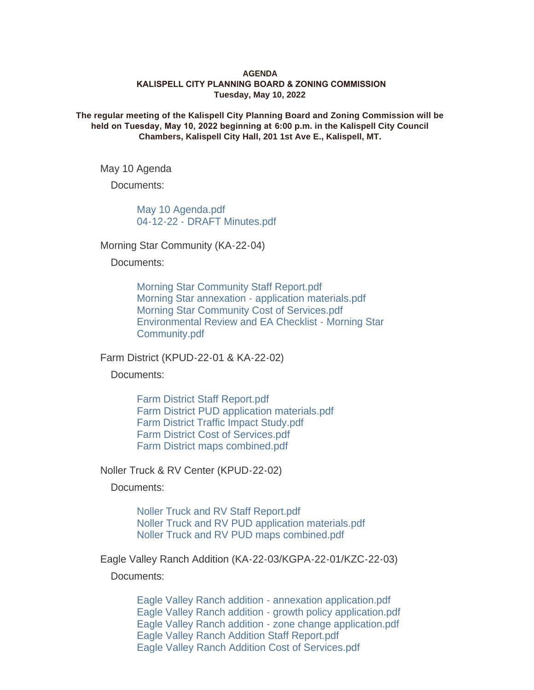## **AGENDA KALISPELL CITY PLANNING BOARD & ZONING COMMISSION Tuesday, May 10, 2022**

**The regular meeting of the Kalispell City Planning Board and Zoning Commission will be held on Tuesday, May 10, 2022 beginning at 6:00 p.m. in the Kalispell City Council Chambers, Kalispell City Hall, 201 1st Ave E., Kalispell, MT.**

May 10 Agenda

Documents:

[May 10 Agenda.pdf](https://www.kalispell.com/AgendaCenter/ViewFile/Item/525?fileID=4026) [04-12-22 - DRAFT Minutes.pdf](https://www.kalispell.com/AgendaCenter/ViewFile/Item/525?fileID=3984)

Morning Star Community (KA-22-04)

Documents:

[Morning Star Community Staff Report.pdf](https://www.kalispell.com/AgendaCenter/ViewFile/Item/526?fileID=4021) [Morning Star annexation - application materials.pdf](https://www.kalispell.com/AgendaCenter/ViewFile/Item/526?fileID=3985) [Morning Star Community Cost of Services.pdf](https://www.kalispell.com/AgendaCenter/ViewFile/Item/526?fileID=4022) [Environmental Review and EA Checklist - Morning Star](https://www.kalispell.com/AgendaCenter/ViewFile/Item/526?fileID=4006)  Community.pdf

Farm District (KPUD-22-01 & KA-22-02)

Documents:

[Farm District Staff Report.pdf](https://www.kalispell.com/AgendaCenter/ViewFile/Item/527?fileID=4024) [Farm District PUD application materials.pdf](https://www.kalispell.com/AgendaCenter/ViewFile/Item/527?fileID=4008) [Farm District Traffic Impact Study.pdf](https://www.kalispell.com/AgendaCenter/ViewFile/Item/527?fileID=3987) [Farm District Cost of Services.pdf](https://www.kalispell.com/AgendaCenter/ViewFile/Item/527?fileID=4023) [Farm District maps combined.pdf](https://www.kalispell.com/AgendaCenter/ViewFile/Item/527?fileID=3988)

Noller Truck & RV Center (KPUD-22-02)

Documents:

[Noller Truck and RV Staff Report.pdf](https://www.kalispell.com/AgendaCenter/ViewFile/Item/528?fileID=4025) [Noller Truck and RV PUD application materials.pdf](https://www.kalispell.com/AgendaCenter/ViewFile/Item/528?fileID=3989) [Noller Truck and RV PUD maps combined.pdf](https://www.kalispell.com/AgendaCenter/ViewFile/Item/528?fileID=3990)

Eagle Valley Ranch Addition (KA-22-03/KGPA-22-01/KZC-22-03)

Documents:

[Eagle Valley Ranch addition - annexation application.pdf](https://www.kalispell.com/AgendaCenter/ViewFile/Item/529?fileID=4045) [Eagle Valley Ranch addition - growth policy application.pdf](https://www.kalispell.com/AgendaCenter/ViewFile/Item/529?fileID=3992) [Eagle Valley Ranch addition - zone change application.pdf](https://www.kalispell.com/AgendaCenter/ViewFile/Item/529?fileID=3993) [Eagle Valley Ranch Addition Staff Report.pdf](https://www.kalispell.com/AgendaCenter/ViewFile/Item/529?fileID=4046) [Eagle Valley Ranch Addition Cost of Services.pdf](https://www.kalispell.com/AgendaCenter/ViewFile/Item/529?fileID=4043)